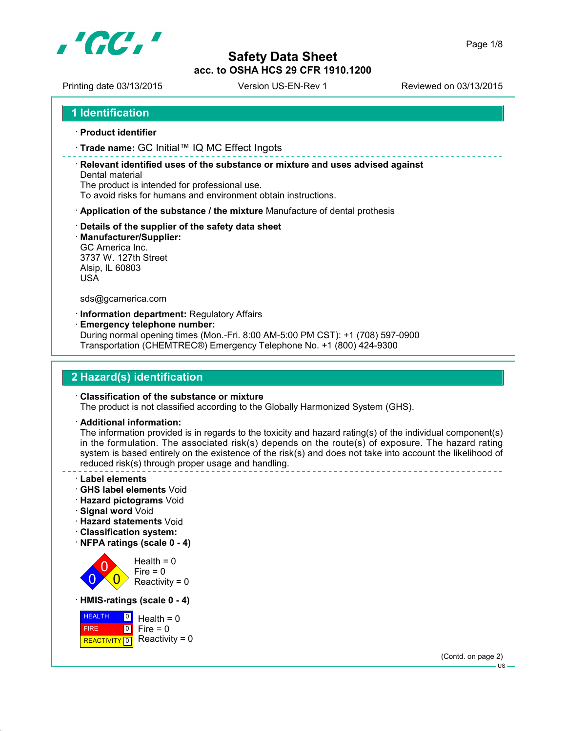

Printing date 03/13/2015 Version US-EN-Rev 1 Reviewed on 03/13/2015

```
1 Identification
```
- **Product identifier**
- **Trade name:** GC Initial™ IQ MC Effect Ingots

 **Relevant identified uses of the substance or mixture and uses advised against** Dental material

The product is intended for professional use.

To avoid risks for humans and environment obtain instructions.

- **Application of the substance / the mixture** Manufacture of dental prothesis
- **Details of the supplier of the safety data sheet**
- **Manufacturer/Supplier:**

GC America Inc. 3737 W. 127th Street Alsip, IL 60803 USA

sds@gcamerica.com

**Information department:** Regulatory Affairs

**Emergency telephone number:**

During normal opening times (Mon.-Fri. 8:00 AM-5:00 PM CST): +1 (708) 597-0900 Transportation (CHEMTREC®) Emergency Telephone No. +1 (800) 424-9300

# **2 Hazard(s) identification**

#### **Classification of the substance or mixture**

The product is not classified according to the Globally Harmonized System (GHS).

**Additional information:**

The information provided is in regards to the toxicity and hazard rating(s) of the individual component(s) in the formulation. The associated risk(s) depends on the route(s) of exposure. The hazard rating system is based entirely on the existence of the risk(s) and does not take into account the likelihood of reduced risk(s) through proper usage and handling.

- **Label elements**
- **GHS label elements** Void
- **Hazard pictograms** Void
- **Signal word** Void
- **Hazard statements** Void
- **Classification system:**
- **NFPA ratings (scale 0 4)**



**HEALTH**  FIRE REACTIVITY 0  $\boxed{0}$  $\overline{10}$  $Health = 0$  $Fire = 0$ Reactivity =  $0$ 

(Contd. on page 2)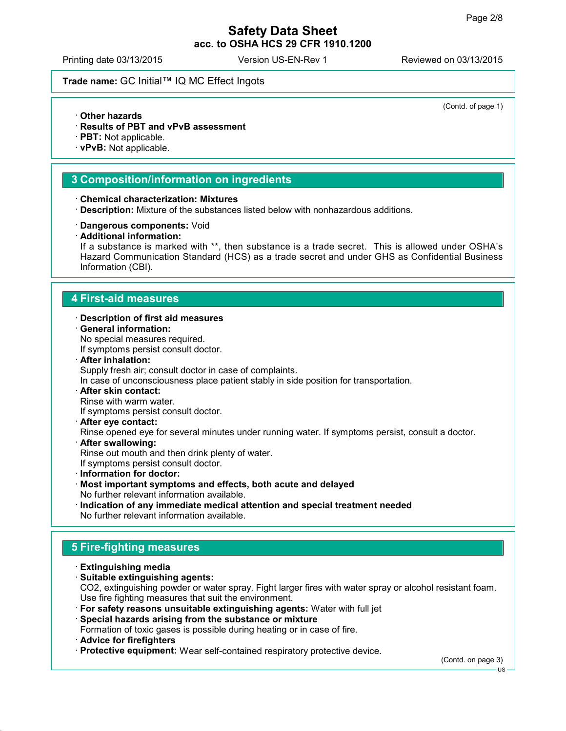(Contd. of page 1)

# **Safety Data Sheet acc. to OSHA HCS 29 CFR 1910.1200**

Printing date 03/13/2015 Version US-EN-Rev 1 Reviewed on 03/13/2015

## **Trade name:** GC Initial™ IQ MC Effect Ingots

- **Other hazards**
- **Results of PBT and vPvB assessment**
- **PBT:** Not applicable.
- **vPvB:** Not applicable.

#### **3 Composition/information on ingredients**

- **Chemical characterization: Mixtures**
- **Description:** Mixture of the substances listed below with nonhazardous additions.
- **Dangerous components:** Void
- **Additional information:**

If a substance is marked with \*\*, then substance is a trade secret. This is allowed under OSHA's Hazard Communication Standard (HCS) as a trade secret and under GHS as Confidential Business Information (CBI).

#### **4 First-aid measures**

- **Description of first aid measures**
- **General information:**

No special measures required.

If symptoms persist consult doctor.

**After inhalation:**

Supply fresh air; consult doctor in case of complaints.

In case of unconsciousness place patient stably in side position for transportation.

**After skin contact:**

Rinse with warm water.

If symptoms persist consult doctor.

**After eye contact:**

Rinse opened eye for several minutes under running water. If symptoms persist, consult a doctor.

**After swallowing:**

Rinse out mouth and then drink plenty of water.

If symptoms persist consult doctor.

- **Information for doctor:**
- **Most important symptoms and effects, both acute and delayed** No further relevant information available.
- **Indication of any immediate medical attention and special treatment needed** No further relevant information available.

## **5 Fire-fighting measures**

- **Extinguishing media**
- **Suitable extinguishing agents:** CO2, extinguishing powder or water spray. Fight larger fires with water spray or alcohol resistant foam. Use fire fighting measures that suit the environment.
- **For safety reasons unsuitable extinguishing agents:** Water with full jet

#### **Special hazards arising from the substance or mixture**

Formation of toxic gases is possible during heating or in case of fire.

- **Advice for firefighters**
- **Protective equipment:** Wear self-contained respiratory protective device.

(Contd. on page 3)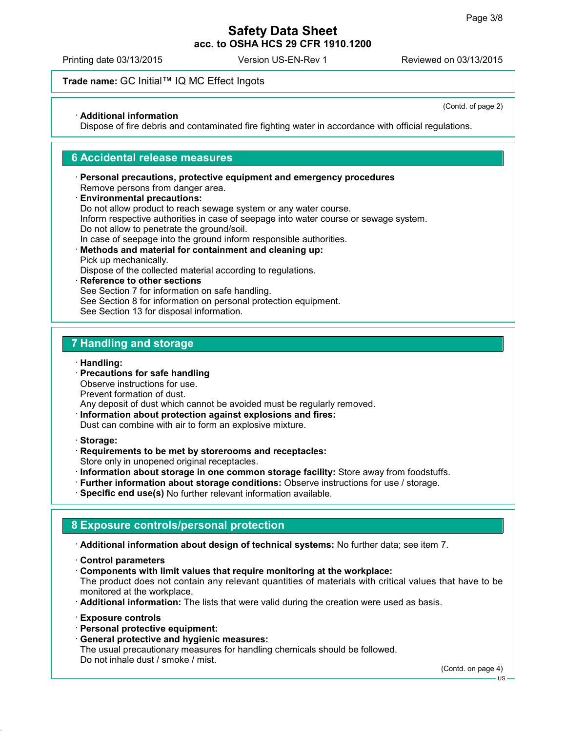Printing date 03/13/2015 Version US-EN-Rev 1 Reviewed on 03/13/2015

## **Trade name:** GC Initial™ IQ MC Effect Ingots

**Additional information**

(Contd. of page 2)

Dispose of fire debris and contaminated fire fighting water in accordance with official regulations.

#### **6 Accidental release measures**

- **Personal precautions, protective equipment and emergency procedures** Remove persons from danger area.
- **Environmental precautions:** Do not allow product to reach sewage system or any water course. Inform respective authorities in case of seepage into water course or sewage system. Do not allow to penetrate the ground/soil. In case of seepage into the ground inform responsible authorities.
- **Methods and material for containment and cleaning up:** Pick up mechanically.

Dispose of the collected material according to regulations.

 **Reference to other sections** See Section 7 for information on safe handling. See Section 8 for information on personal protection equipment. See Section 13 for disposal information.

#### **7 Handling and storage**

**Handling:**

 **Precautions for safe handling** Observe instructions for use.

Prevent formation of dust.

Any deposit of dust which cannot be avoided must be regularly removed.

- **Information about protection against explosions and fires:** Dust can combine with air to form an explosive mixture.
- **Storage:**
- **Requirements to be met by storerooms and receptacles:**

Store only in unopened original receptacles.

- **Information about storage in one common storage facility:** Store away from foodstuffs.
- **Further information about storage conditions:** Observe instructions for use / storage.
- **Specific end use(s)** No further relevant information available.

## **8 Exposure controls/personal protection**

**Additional information about design of technical systems:** No further data; see item 7.

- **Control parameters**
- **Components with limit values that require monitoring at the workplace:**

The product does not contain any relevant quantities of materials with critical values that have to be monitored at the workplace.

- **Additional information:** The lists that were valid during the creation were used as basis.
- **Exposure controls**
- **Personal protective equipment:**
- **General protective and hygienic measures:**

The usual precautionary measures for handling chemicals should be followed. Do not inhale dust / smoke / mist.

(Contd. on page 4)

US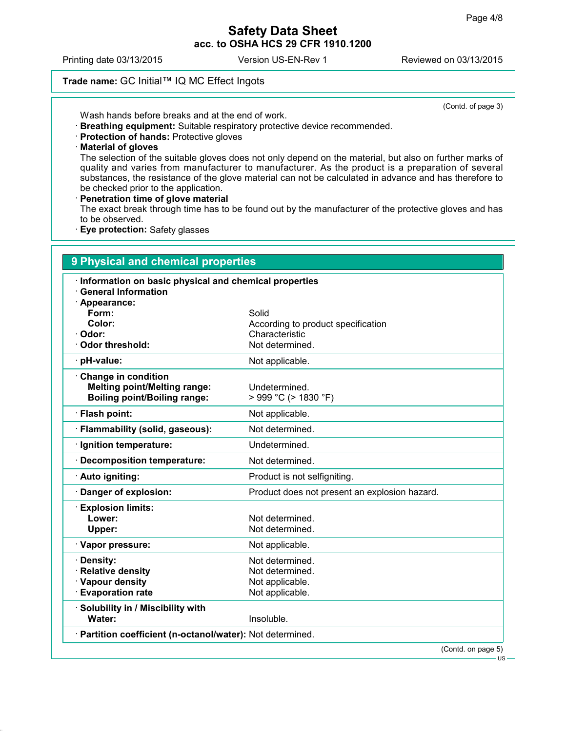Printing date 03/13/2015 Version US-EN-Rev 1 Reviewed on 03/13/2015

### **Trade name:** GC Initial™ IQ MC Effect Ingots

(Contd. of page 3)

Wash hands before breaks and at the end of work.

- **Breathing equipment:** Suitable respiratory protective device recommended.
- **Protection of hands:** Protective gloves
- **Material of gloves**

The selection of the suitable gloves does not only depend on the material, but also on further marks of quality and varies from manufacturer to manufacturer. As the product is a preparation of several substances, the resistance of the glove material can not be calculated in advance and has therefore to be checked prior to the application.

#### **Penetration time of glove material**

The exact break through time has to be found out by the manufacturer of the protective gloves and has to be observed.

**Eye protection:** Safety glasses

| Information on basic physical and chemical properties<br><b>General Information</b> |                                               |
|-------------------------------------------------------------------------------------|-----------------------------------------------|
| · Appearance:                                                                       |                                               |
| Form:                                                                               | Solid                                         |
| Color:                                                                              | According to product specification            |
| · Odor:                                                                             | Characteristic                                |
| Odor threshold:                                                                     | Not determined.                               |
| · pH-value:                                                                         | Not applicable.                               |
| Change in condition                                                                 |                                               |
| <b>Melting point/Melting range:</b>                                                 | Undetermined.                                 |
| <b>Boiling point/Boiling range:</b>                                                 | > 999 °C (> 1830 °F)                          |
| · Flash point:                                                                      | Not applicable.                               |
| · Flammability (solid, gaseous):                                                    | Not determined.                               |
| · Ignition temperature:                                                             | Undetermined.                                 |
| Decomposition temperature:                                                          | Not determined.                               |
| · Auto igniting:                                                                    | Product is not selfigniting.                  |
| Danger of explosion:                                                                | Product does not present an explosion hazard. |
| <b>Explosion limits:</b>                                                            |                                               |
| Lower:                                                                              | Not determined.                               |
| Upper:                                                                              | Not determined.                               |
| · Vapor pressure:                                                                   | Not applicable.                               |
| · Density:                                                                          | Not determined.                               |
| <b>Relative density</b>                                                             | Not determined.                               |
| · Vapour density                                                                    | Not applicable.                               |
| <b>Evaporation rate</b>                                                             | Not applicable.                               |
| · Solubility in / Miscibility with                                                  |                                               |
| Water:                                                                              | Insoluble.                                    |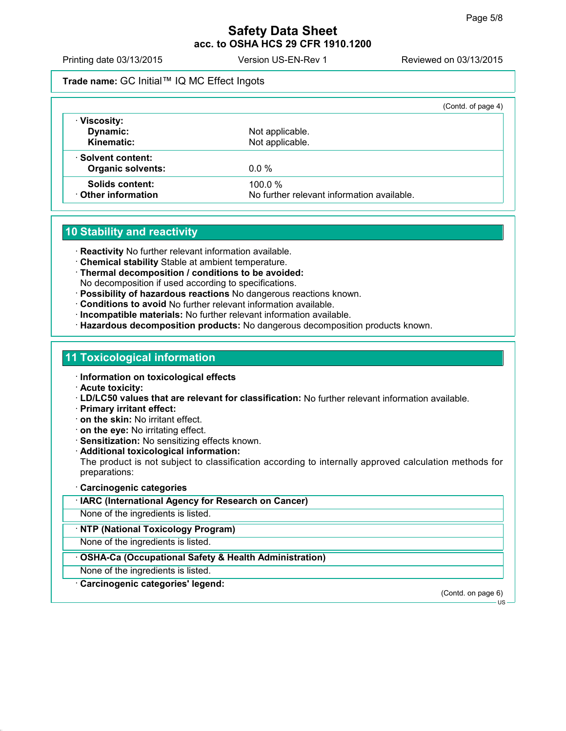Printing date 03/13/2015 Version US-EN-Rev 1 Reviewed on 03/13/2015

## **Trade name:** GC Initial™ IQ MC Effect Ingots

|         | (Contd. of page 4)                                                                         |
|---------|--------------------------------------------------------------------------------------------|
|         |                                                                                            |
|         |                                                                                            |
|         |                                                                                            |
|         |                                                                                            |
| $0.0\%$ |                                                                                            |
|         |                                                                                            |
|         |                                                                                            |
|         | Not applicable.<br>Not applicable.<br>100.0%<br>No further relevant information available. |

## **10 Stability and reactivity**

**Reactivity** No further relevant information available.

- **Chemical stability** Stable at ambient temperature.
- **Thermal decomposition / conditions to be avoided:** No decomposition if used according to specifications.
- **Possibility of hazardous reactions** No dangerous reactions known.
- **Conditions to avoid** No further relevant information available.
- **Incompatible materials:** No further relevant information available.
- **Hazardous decomposition products:** No dangerous decomposition products known.

#### **11 Toxicological information**

- **Information on toxicological effects**
- **Acute toxicity:**
- **LD/LC50 values that are relevant for classification:** No further relevant information available.
- **Primary irritant effect:**
- **on the skin:** No irritant effect.
- **on the eye:** No irritating effect.
- **Sensitization:** No sensitizing effects known.
- **Additional toxicological information:**

The product is not subject to classification according to internally approved calculation methods for preparations:

#### **Carcinogenic categories**

**IARC (International Agency for Research on Cancer)**

None of the ingredients is listed.

#### **NTP (National Toxicology Program)**

None of the ingredients is listed.

#### **OSHA-Ca (Occupational Safety & Health Administration)**

None of the ingredients is listed.

**Carcinogenic categories' legend:**

(Contd. on page 6)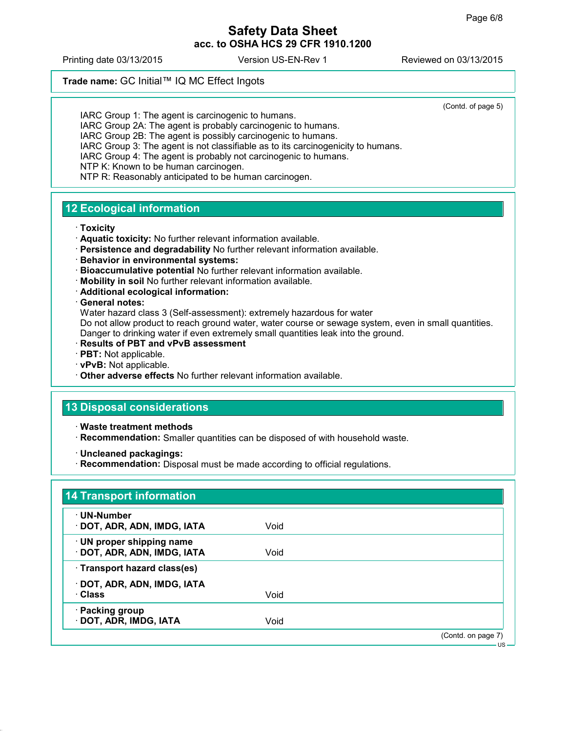Printing date 03/13/2015 Version US-EN-Rev 1 Reviewed on 03/13/2015

# **Trade name:** GC Initial™ IQ MC Effect Ingots

(Contd. of page 5)

IARC Group 1: The agent is carcinogenic to humans. IARC Group 2A: The agent is probably carcinogenic to humans. IARC Group 2B: The agent is possibly carcinogenic to humans. IARC Group 3: The agent is not classifiable as to its carcinogenicity to humans. IARC Group 4: The agent is probably not carcinogenic to humans. NTP K: Known to be human carcinogen. NTP R: Reasonably anticipated to be human carcinogen.

# **12 Ecological information**

#### **Toxicity**

- **Aquatic toxicity:** No further relevant information available.
- **Persistence and degradability** No further relevant information available.
- **Behavior in environmental systems:**
- **Bioaccumulative potential** No further relevant information available.
- **Mobility in soil** No further relevant information available.
- **Additional ecological information:**

#### **General notes:**

Water hazard class 3 (Self-assessment): extremely hazardous for water Do not allow product to reach ground water, water course or sewage system, even in small quantities. Danger to drinking water if even extremely small quantities leak into the ground.

- **Results of PBT and vPvB assessment**
- **PBT:** Not applicable.
- **vPvB:** Not applicable.
- **Other adverse effects** No further relevant information available.

# **13 Disposal considerations**

- **Waste treatment methods**
- **Recommendation:** Smaller quantities can be disposed of with household waste.
- **Uncleaned packagings:**
- **Recommendation:** Disposal must be made according to official regulations.

| · UN-Number                  |      |  |
|------------------------------|------|--|
| · DOT, ADR, ADN, IMDG, IATA  | Void |  |
| · UN proper shipping name    |      |  |
| · DOT, ADR, ADN, IMDG, IATA  | Void |  |
| · Transport hazard class(es) |      |  |
| · DOT, ADR, ADN, IMDG, IATA  |      |  |
| · Class                      | Void |  |
| · Packing group              |      |  |
| · DOT, ADR, IMDG, IATA       | Void |  |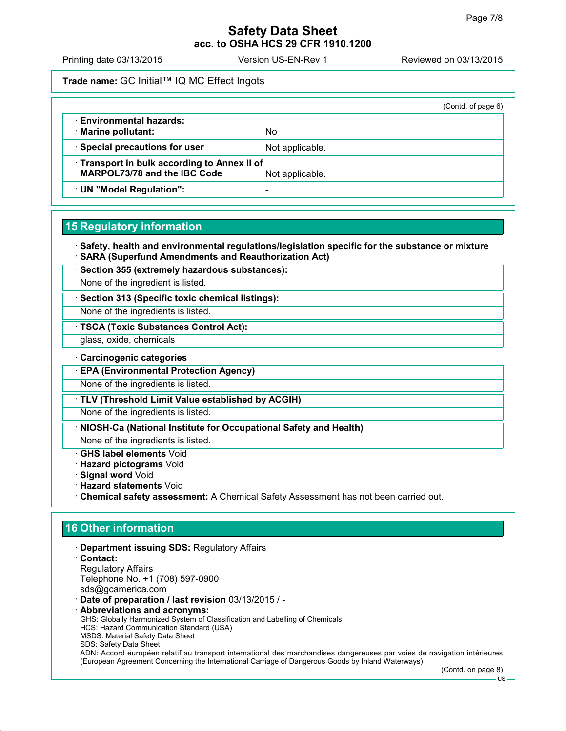Printing date 03/13/2015 Version US-EN-Rev 1 Reviewed on 03/13/2015

**Trade name:** GC Initial™ IQ MC Effect Ingots

|                                                                                                      |                 | (Contd. of page 6) |
|------------------------------------------------------------------------------------------------------|-----------------|--------------------|
| <b>Environmental hazards:</b><br>· Marine pollutant:                                                 | No              |                    |
| · Special precautions for user                                                                       | Not applicable. |                    |
| Transport in bulk according to Annex II of<br><b>MARPOL73/78 and the IBC Code</b><br>Not applicable. |                 |                    |
| · UN "Model Regulation":                                                                             |                 |                    |

# **15 Regulatory information**

 **Safety, health and environmental regulations/legislation specific for the substance or mixture SARA (Superfund Amendments and Reauthorization Act)**

**Section 355 (extremely hazardous substances):**

None of the ingredient is listed.

**Section 313 (Specific toxic chemical listings):**

None of the ingredients is listed.

**TSCA (Toxic Substances Control Act):**

glass, oxide, chemicals

**Carcinogenic categories**

**EPA (Environmental Protection Agency)**

None of the ingredients is listed.

**TLV (Threshold Limit Value established by ACGIH)**

None of the ingredients is listed.

**NIOSH-Ca (National Institute for Occupational Safety and Health)**

None of the ingredients is listed.

**GHS label elements** Void

**Hazard pictograms** Void

**Signal word** Void

**Hazard statements** Void

**Chemical safety assessment:** A Chemical Safety Assessment has not been carried out.

# **16 Other information**

**Department issuing SDS:** Regulatory Affairs

- **Contact:** Regulatory Affairs Telephone No. +1 (708) 597-0900 sds@gcamerica.com
- **Date of preparation / last revision** 03/13/2015 / -
- **Abbreviations and acronyms:** GHS: Globally Harmonized System of Classification and Labelling of Chemicals HCS: Hazard Communication Standard (USA) MSDS: Material Safety Data Sheet SDS: Safety Data Sheet ADN: Accord européen relatif au transport international des marchandises dangereuses par voies de navigation intérieures (European Agreement Concerning the International Carriage of Dangerous Goods by Inland Waterways)

(Contd. on page 8)

 $\overline{18}$